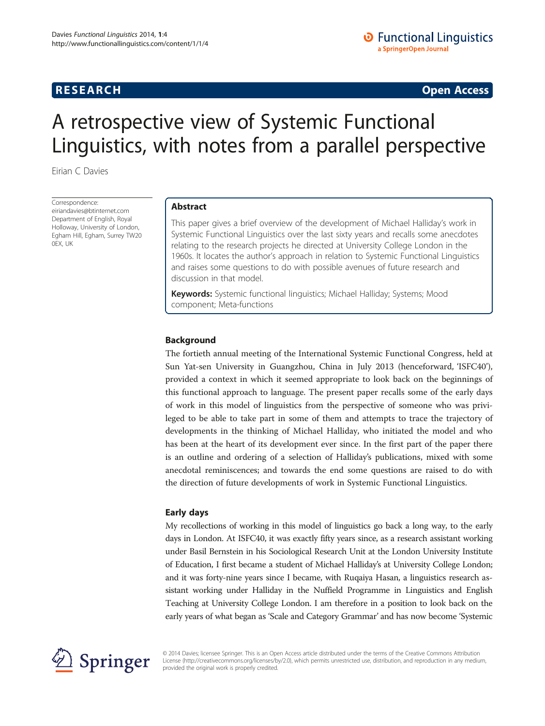**RESEARCH RESEARCH CONSUMING ACCESS** 

# A retrospective view of Systemic Functional Linguistics, with notes from a parallel perspective

Eirian C Davies

Correspondence: [eiriandavies@btinternet.com](mailto:eiriandavies@btinternet.com) Department of English, Royal Holloway, University of London, Egham Hill, Egham, Surrey TW20 0EX, UK

# Abstract

This paper gives a brief overview of the development of Michael Halliday's work in Systemic Functional Linguistics over the last sixty years and recalls some anecdotes relating to the research projects he directed at University College London in the 1960s. It locates the author's approach in relation to Systemic Functional Linguistics and raises some questions to do with possible avenues of future research and discussion in that model.

Keywords: Systemic functional linguistics; Michael Halliday; Systems; Mood component; Meta-functions

# Background

The fortieth annual meeting of the International Systemic Functional Congress, held at Sun Yat-sen University in Guangzhou, China in July 2013 (henceforward, 'ISFC40'), provided a context in which it seemed appropriate to look back on the beginnings of this functional approach to language. The present paper recalls some of the early days of work in this model of linguistics from the perspective of someone who was privileged to be able to take part in some of them and attempts to trace the trajectory of developments in the thinking of Michael Halliday, who initiated the model and who has been at the heart of its development ever since. In the first part of the paper there is an outline and ordering of a selection of Halliday's publications, mixed with some anecdotal reminiscences; and towards the end some questions are raised to do with the direction of future developments of work in Systemic Functional Linguistics.

# Early days

My recollections of working in this model of linguistics go back a long way, to the early days in London. At ISFC40, it was exactly fifty years since, as a research assistant working under Basil Bernstein in his Sociological Research Unit at the London University Institute of Education, I first became a student of Michael Halliday's at University College London; and it was forty-nine years since I became, with Ruqaiya Hasan, a linguistics research assistant working under Halliday in the Nuffield Programme in Linguistics and English Teaching at University College London. I am therefore in a position to look back on the early years of what began as 'Scale and Category Grammar' and has now become 'Systemic



© 2014 Davies; licensee Springer. This is an Open Access article distributed under the terms of the Creative Commons Attribution License [\(http://creativecommons.org/licenses/by/2.0\)](http://creativecommons.org/licenses/by/2.0), which permits unrestricted use, distribution, and reproduction in any medium, provided the original work is properly credited.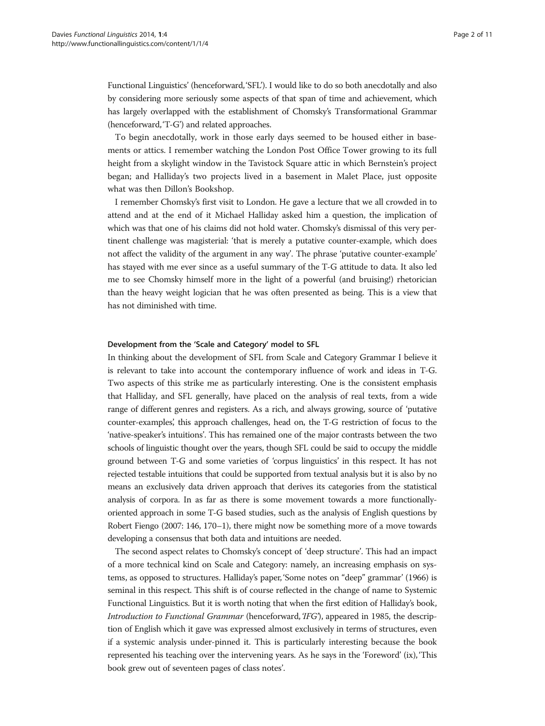Functional Linguistics' (henceforward,'SFL'). I would like to do so both anecdotally and also by considering more seriously some aspects of that span of time and achievement, which has largely overlapped with the establishment of Chomsky's Transformational Grammar (henceforward,'T-G') and related approaches.

To begin anecdotally, work in those early days seemed to be housed either in basements or attics. I remember watching the London Post Office Tower growing to its full height from a skylight window in the Tavistock Square attic in which Bernstein's project began; and Halliday's two projects lived in a basement in Malet Place, just opposite what was then Dillon's Bookshop.

I remember Chomsky's first visit to London. He gave a lecture that we all crowded in to attend and at the end of it Michael Halliday asked him a question, the implication of which was that one of his claims did not hold water. Chomsky's dismissal of this very pertinent challenge was magisterial: 'that is merely a putative counter-example, which does not affect the validity of the argument in any way'. The phrase 'putative counter-example' has stayed with me ever since as a useful summary of the T-G attitude to data. It also led me to see Chomsky himself more in the light of a powerful (and bruising!) rhetorician than the heavy weight logician that he was often presented as being. This is a view that has not diminished with time.

# Development from the 'Scale and Category' model to SFL

In thinking about the development of SFL from Scale and Category Grammar I believe it is relevant to take into account the contemporary influence of work and ideas in T-G. Two aspects of this strike me as particularly interesting. One is the consistent emphasis that Halliday, and SFL generally, have placed on the analysis of real texts, from a wide range of different genres and registers. As a rich, and always growing, source of 'putative counter-examples', this approach challenges, head on, the T-G restriction of focus to the 'native-speaker's intuitions'. This has remained one of the major contrasts between the two schools of linguistic thought over the years, though SFL could be said to occupy the middle ground between T-G and some varieties of 'corpus linguistics' in this respect. It has not rejected testable intuitions that could be supported from textual analysis but it is also by no means an exclusively data driven approach that derives its categories from the statistical analysis of corpora. In as far as there is some movement towards a more functionallyoriented approach in some T-G based studies, such as the analysis of English questions by Robert Fiengo [\(2007](#page-10-0): 146, 170–1), there might now be something more of a move towards developing a consensus that both data and intuitions are needed.

The second aspect relates to Chomsky's concept of 'deep structure'. This had an impact of a more technical kind on Scale and Category: namely, an increasing emphasis on systems, as opposed to structures. Halliday's paper, 'Some notes on "deep" grammar' [\(1966\)](#page-10-0) is seminal in this respect. This shift is of course reflected in the change of name to Systemic Functional Linguistics. But it is worth noting that when the first edition of Halliday's book, Introduction to Functional Grammar (henceforward,'IFG'), appeared in [1985](#page-10-0), the description of English which it gave was expressed almost exclusively in terms of structures, even if a systemic analysis under-pinned it. This is particularly interesting because the book represented his teaching over the intervening years. As he says in the 'Foreword' (ix), 'This book grew out of seventeen pages of class notes'.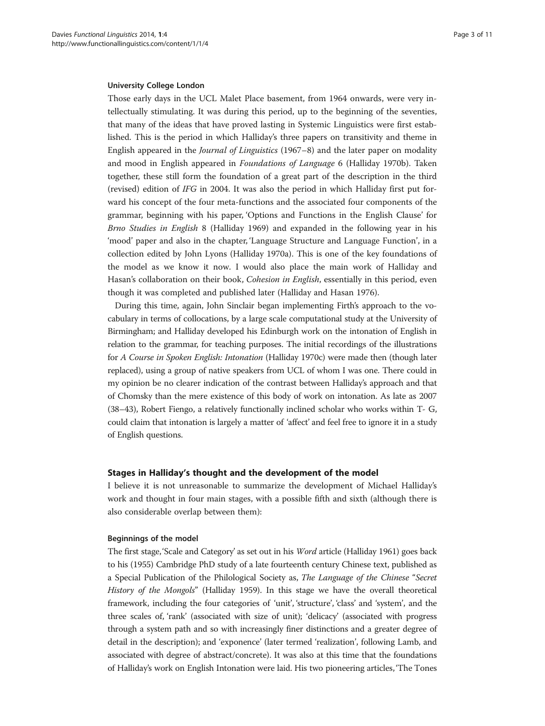#### University College London

Those early days in the UCL Malet Place basement, from 1964 onwards, were very intellectually stimulating. It was during this period, up to the beginning of the seventies, that many of the ideas that have proved lasting in Systemic Linguistics were first established. This is the period in which Halliday's three papers on transitivity and theme in English appeared in the *Journal of Linguistics* [\(1967](#page-10-0)–8) and the later paper on modality and mood in English appeared in Foundations of Language 6 (Halliday [1970b\)](#page-10-0). Taken together, these still form the foundation of a great part of the description in the third (revised) edition of IFG in 2004. It was also the period in which Halliday first put forward his concept of the four meta-functions and the associated four components of the grammar, beginning with his paper, 'Options and Functions in the English Clause' for Brno Studies in English 8 (Halliday [1969\)](#page-10-0) and expanded in the following year in his 'mood' paper and also in the chapter, 'Language Structure and Language Function', in a collection edited by John Lyons (Halliday [1970a\)](#page-10-0). This is one of the key foundations of the model as we know it now. I would also place the main work of Halliday and Hasan's collaboration on their book, Cohesion in English, essentially in this period, even though it was completed and published later (Halliday and Hasan [1976](#page-10-0)).

During this time, again, John Sinclair began implementing Firth's approach to the vocabulary in terms of collocations, by a large scale computational study at the University of Birmingham; and Halliday developed his Edinburgh work on the intonation of English in relation to the grammar, for teaching purposes. The initial recordings of the illustrations for A Course in Spoken English: Intonation (Halliday [1970c\)](#page-10-0) were made then (though later replaced), using a group of native speakers from UCL of whom I was one. There could in my opinion be no clearer indication of the contrast between Halliday's approach and that of Chomsky than the mere existence of this body of work on intonation. As late as 2007 (38–43), Robert Fiengo, a relatively functionally inclined scholar who works within T- G, could claim that intonation is largely a matter of 'affect' and feel free to ignore it in a study of English questions.

### Stages in Halliday's thought and the development of the model

I believe it is not unreasonable to summarize the development of Michael Halliday's work and thought in four main stages, with a possible fifth and sixth (although there is also considerable overlap between them):

#### Beginnings of the model

The first stage,'Scale and Category' as set out in his Word article (Halliday [1961](#page-10-0)) goes back to his (1955) Cambridge PhD study of a late fourteenth century Chinese text, published as a Special Publication of the Philological Society as, The Language of the Chinese "Secret History of the Mongols" (Halliday [1959](#page-10-0)). In this stage we have the overall theoretical framework, including the four categories of 'unit', 'structure', 'class' and 'system', and the three scales of, 'rank' (associated with size of unit); 'delicacy' (associated with progress through a system path and so with increasingly finer distinctions and a greater degree of detail in the description); and 'exponence' (later termed 'realization', following Lamb, and associated with degree of abstract/concrete). It was also at this time that the foundations of Halliday's work on English Intonation were laid. His two pioneering articles, 'The Tones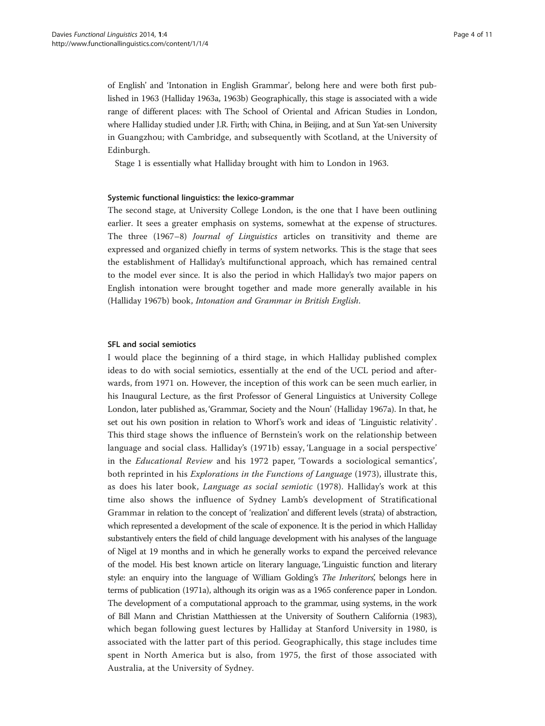of English' and 'Intonation in English Grammar', belong here and were both first published in 1963 (Halliday [1963a](#page-10-0), [1963b](#page-10-0)) Geographically, this stage is associated with a wide range of different places: with The School of Oriental and African Studies in London, where Halliday studied under J.R. Firth; with China, in Beijing, and at Sun Yat-sen University in Guangzhou; with Cambridge, and subsequently with Scotland, at the University of Edinburgh.

Stage 1 is essentially what Halliday brought with him to London in 1963.

# Systemic functional linguistics: the lexico-grammar

The second stage, at University College London, is the one that I have been outlining earlier. It sees a greater emphasis on systems, somewhat at the expense of structures. The three (1967–8) Journal of Linguistics articles on transitivity and theme are expressed and organized chiefly in terms of system networks. This is the stage that sees the establishment of Halliday's multifunctional approach, which has remained central to the model ever since. It is also the period in which Halliday's two major papers on English intonation were brought together and made more generally available in his (Halliday [1967b](#page-10-0)) book, Intonation and Grammar in British English.

# SFL and social semiotics

I would place the beginning of a third stage, in which Halliday published complex ideas to do with social semiotics, essentially at the end of the UCL period and afterwards, from 1971 on. However, the inception of this work can be seen much earlier, in his Inaugural Lecture, as the first Professor of General Linguistics at University College London, later published as, 'Grammar, Society and the Noun' (Halliday [1967a\)](#page-10-0). In that, he set out his own position in relation to Whorf's work and ideas of 'Linguistic relativity' . This third stage shows the influence of Bernstein's work on the relationship between language and social class. Halliday's ([1971b\)](#page-10-0) essay, 'Language in a social perspective' in the Educational Review and his 1972 paper, 'Towards a sociological semantics', both reprinted in his *Explorations in the Functions of Language* ([1973](#page-10-0)), illustrate this, as does his later book, Language as social semiotic ([1978\)](#page-10-0). Halliday's work at this time also shows the influence of Sydney Lamb's development of Stratificational Grammar in relation to the concept of 'realization' and different levels (strata) of abstraction, which represented a development of the scale of exponence. It is the period in which Halliday substantively enters the field of child language development with his analyses of the language of Nigel at 19 months and in which he generally works to expand the perceived relevance of the model. His best known article on literary language, 'Linguistic function and literary style: an enquiry into the language of William Golding's *The Inheritors*', belongs here in terms of publication [\(1971a\)](#page-10-0), although its origin was as a 1965 conference paper in London. The development of a computational approach to the grammar, using systems, in the work of Bill Mann and Christian Matthiessen at the University of Southern California ([1983\)](#page-10-0), which began following guest lectures by Halliday at Stanford University in 1980, is associated with the latter part of this period. Geographically, this stage includes time spent in North America but is also, from 1975, the first of those associated with Australia, at the University of Sydney.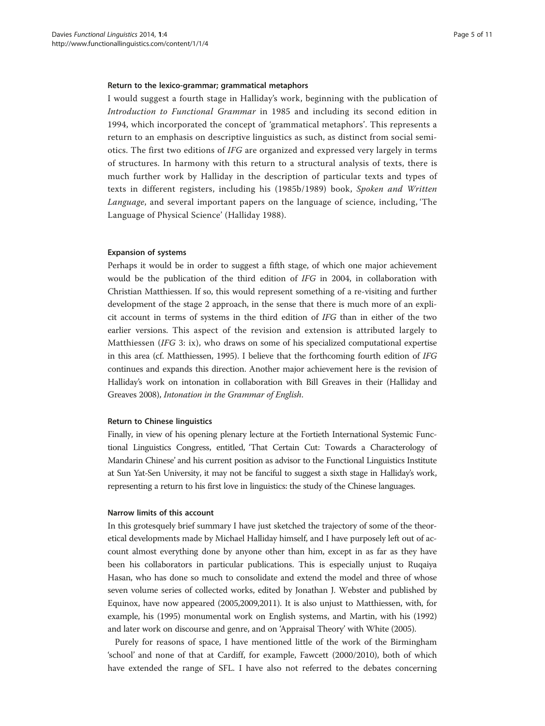#### Return to the lexico-grammar; grammatical metaphors

I would suggest a fourth stage in Halliday's work, beginning with the publication of Introduction to Functional Grammar in 1985 and including its second edition in 1994, which incorporated the concept of 'grammatical metaphors'. This represents a return to an emphasis on descriptive linguistics as such, as distinct from social semiotics. The first two editions of IFG are organized and expressed very largely in terms of structures. In harmony with this return to a structural analysis of texts, there is much further work by Halliday in the description of particular texts and types of texts in different registers, including his ([1985b](#page-10-0)/1989) book, Spoken and Written Language, and several important papers on the language of science, including, 'The Language of Physical Science' (Halliday [1988](#page-10-0)).

### Expansion of systems

Perhaps it would be in order to suggest a fifth stage, of which one major achievement would be the publication of the third edition of IFG in 2004, in collaboration with Christian Matthiessen. If so, this would represent something of a re-visiting and further development of the stage 2 approach, in the sense that there is much more of an explicit account in terms of systems in the third edition of IFG than in either of the two earlier versions. This aspect of the revision and extension is attributed largely to Matthiessen (IFG 3: ix), who draws on some of his specialized computational expertise in this area (cf. Matthiessen, [1995](#page-10-0)). I believe that the forthcoming fourth edition of IFG continues and expands this direction. Another major achievement here is the revision of Halliday's work on intonation in collaboration with Bill Greaves in their (Halliday and Greaves [2008](#page-10-0)), Intonation in the Grammar of English.

# Return to Chinese linguistics

Finally, in view of his opening plenary lecture at the Fortieth International Systemic Functional Linguistics Congress, entitled, 'That Certain Cut: Towards a Characterology of Mandarin Chinese' and his current position as advisor to the Functional Linguistics Institute at Sun Yat-Sen University, it may not be fanciful to suggest a sixth stage in Halliday's work, representing a return to his first love in linguistics: the study of the Chinese languages.

#### Narrow limits of this account

In this grotesquely brief summary I have just sketched the trajectory of some of the theoretical developments made by Michael Halliday himself, and I have purposely left out of account almost everything done by anyone other than him, except in as far as they have been his collaborators in particular publications. This is especially unjust to Ruqaiya Hasan, who has done so much to consolidate and extend the model and three of whose seven volume series of collected works, edited by Jonathan J. Webster and published by Equinox, have now appeared [\(2005,2009,2011\)](#page-10-0). It is also unjust to Matthiessen, with, for example, his ([1995](#page-10-0)) monumental work on English systems, and Martin, with his [\(1992](#page-10-0)) and later work on discourse and genre, and on 'Appraisal Theory' with White ([2005](#page-10-0)).

Purely for reasons of space, I have mentioned little of the work of the Birmingham 'school' and none of that at Cardiff, for example, Fawcett [\(2000/2010](#page-10-0)), both of which have extended the range of SFL. I have also not referred to the debates concerning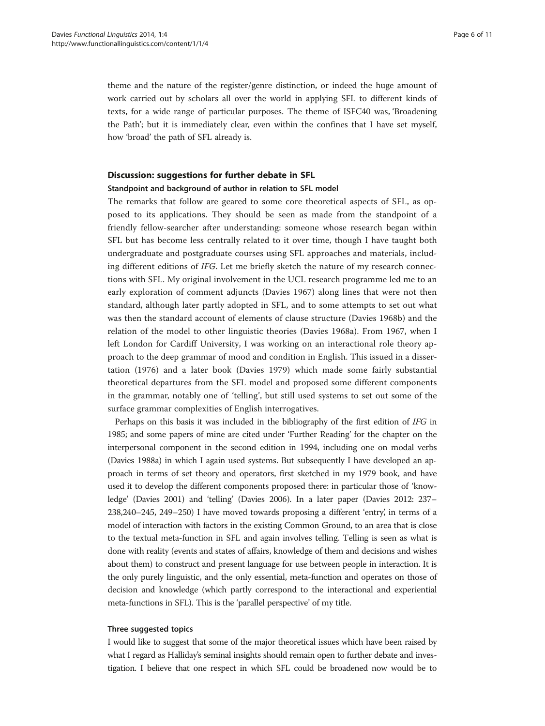theme and the nature of the register/genre distinction, or indeed the huge amount of work carried out by scholars all over the world in applying SFL to different kinds of texts, for a wide range of particular purposes. The theme of ISFC40 was, 'Broadening the Path'; but it is immediately clear, even within the confines that I have set myself, how 'broad' the path of SFL already is.

# Discussion: suggestions for further debate in SFL

### Standpoint and background of author in relation to SFL model

The remarks that follow are geared to some core theoretical aspects of SFL, as opposed to its applications. They should be seen as made from the standpoint of a friendly fellow-searcher after understanding: someone whose research began within SFL but has become less centrally related to it over time, though I have taught both undergraduate and postgraduate courses using SFL approaches and materials, including different editions of IFG. Let me briefly sketch the nature of my research connections with SFL. My original involvement in the UCL research programme led me to an early exploration of comment adjuncts (Davies [1967\)](#page-9-0) along lines that were not then standard, although later partly adopted in SFL, and to some attempts to set out what was then the standard account of elements of clause structure (Davies [1968b\)](#page-9-0) and the relation of the model to other linguistic theories (Davies [1968a\)](#page-9-0). From 1967, when I left London for Cardiff University, I was working on an interactional role theory approach to the deep grammar of mood and condition in English. This issued in a dissertation (1976) and a later book (Davies [1979\)](#page-9-0) which made some fairly substantial theoretical departures from the SFL model and proposed some different components in the grammar, notably one of 'telling', but still used systems to set out some of the surface grammar complexities of English interrogatives.

Perhaps on this basis it was included in the bibliography of the first edition of IFG in 1985; and some papers of mine are cited under 'Further Reading' for the chapter on the interpersonal component in the second edition in 1994, including one on modal verbs (Davies [1988a\)](#page-9-0) in which I again used systems. But subsequently I have developed an approach in terms of set theory and operators, first sketched in my 1979 book, and have used it to develop the different components proposed there: in particular those of 'knowledge' (Davies [2001\)](#page-10-0) and 'telling' (Davies [2006\)](#page-10-0). In a later paper (Davies [2012](#page-10-0): 237– 238,240–245, 249–250) I have moved towards proposing a different 'entry', in terms of a model of interaction with factors in the existing Common Ground, to an area that is close to the textual meta-function in SFL and again involves telling. Telling is seen as what is done with reality (events and states of affairs, knowledge of them and decisions and wishes about them) to construct and present language for use between people in interaction. It is the only purely linguistic, and the only essential, meta-function and operates on those of decision and knowledge (which partly correspond to the interactional and experiential meta-functions in SFL). This is the 'parallel perspective' of my title.

#### Three suggested topics

I would like to suggest that some of the major theoretical issues which have been raised by what I regard as Halliday's seminal insights should remain open to further debate and investigation. I believe that one respect in which SFL could be broadened now would be to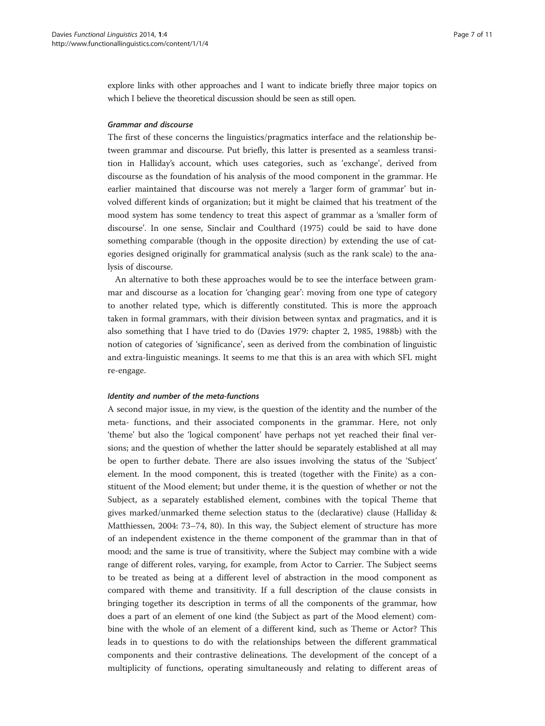explore links with other approaches and I want to indicate briefly three major topics on which I believe the theoretical discussion should be seen as still open.

# Grammar and discourse

The first of these concerns the linguistics/pragmatics interface and the relationship between grammar and discourse. Put briefly, this latter is presented as a seamless transition in Halliday's account, which uses categories, such as 'exchange', derived from discourse as the foundation of his analysis of the mood component in the grammar. He earlier maintained that discourse was not merely a 'larger form of grammar' but involved different kinds of organization; but it might be claimed that his treatment of the mood system has some tendency to treat this aspect of grammar as a 'smaller form of discourse'. In one sense, Sinclair and Coulthard [\(1975\)](#page-10-0) could be said to have done something comparable (though in the opposite direction) by extending the use of categories designed originally for grammatical analysis (such as the rank scale) to the analysis of discourse.

An alternative to both these approaches would be to see the interface between grammar and discourse as a location for 'changing gear': moving from one type of category to another related type, which is differently constituted. This is more the approach taken in formal grammars, with their division between syntax and pragmatics, and it is also something that I have tried to do (Davies [1979:](#page-9-0) chapter 2, [1985, 1988b](#page-9-0)) with the notion of categories of 'significance', seen as derived from the combination of linguistic and extra-linguistic meanings. It seems to me that this is an area with which SFL might re-engage.

#### Identity and number of the meta-functions

A second major issue, in my view, is the question of the identity and the number of the meta- functions, and their associated components in the grammar. Here, not only 'theme' but also the 'logical component' have perhaps not yet reached their final versions; and the question of whether the latter should be separately established at all may be open to further debate. There are also issues involving the status of the 'Subject' element. In the mood component, this is treated (together with the Finite) as a constituent of the Mood element; but under theme, it is the question of whether or not the Subject, as a separately established element, combines with the topical Theme that gives marked/unmarked theme selection status to the (declarative) clause (Halliday & Matthiessen, [2004:](#page-10-0) 73–74, 80). In this way, the Subject element of structure has more of an independent existence in the theme component of the grammar than in that of mood; and the same is true of transitivity, where the Subject may combine with a wide range of different roles, varying, for example, from Actor to Carrier. The Subject seems to be treated as being at a different level of abstraction in the mood component as compared with theme and transitivity. If a full description of the clause consists in bringing together its description in terms of all the components of the grammar, how does a part of an element of one kind (the Subject as part of the Mood element) combine with the whole of an element of a different kind, such as Theme or Actor? This leads in to questions to do with the relationships between the different grammatical components and their contrastive delineations. The development of the concept of a multiplicity of functions, operating simultaneously and relating to different areas of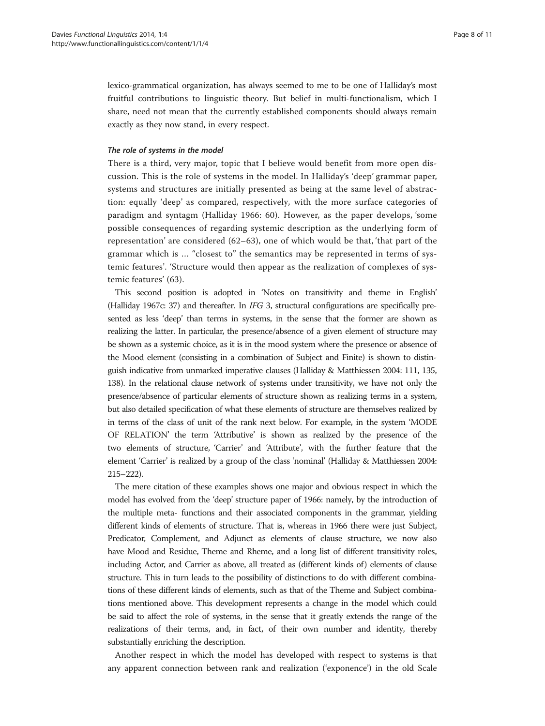lexico-grammatical organization, has always seemed to me to be one of Halliday's most fruitful contributions to linguistic theory. But belief in multi-functionalism, which I share, need not mean that the currently established components should always remain exactly as they now stand, in every respect.

# The role of systems in the model

There is a third, very major, topic that I believe would benefit from more open discussion. This is the role of systems in the model. In Halliday's 'deep' grammar paper, systems and structures are initially presented as being at the same level of abstraction: equally 'deep' as compared, respectively, with the more surface categories of paradigm and syntagm (Halliday [1966:](#page-10-0) 60). However, as the paper develops, 'some possible consequences of regarding systemic description as the underlying form of representation' are considered (62–63), one of which would be that, 'that part of the grammar which is … "closest to" the semantics may be represented in terms of systemic features'. 'Structure would then appear as the realization of complexes of systemic features' (63).

This second position is adopted in 'Notes on transitivity and theme in English' (Halliday [1967c](#page-9-0): 37) and thereafter. In IFG 3, structural configurations are specifically presented as less 'deep' than terms in systems, in the sense that the former are shown as realizing the latter. In particular, the presence/absence of a given element of structure may be shown as a systemic choice, as it is in the mood system where the presence or absence of the Mood element (consisting in a combination of Subject and Finite) is shown to distinguish indicative from unmarked imperative clauses (Halliday & Matthiessen [2004](#page-10-0): 111, 135, 138). In the relational clause network of systems under transitivity, we have not only the presence/absence of particular elements of structure shown as realizing terms in a system, but also detailed specification of what these elements of structure are themselves realized by in terms of the class of unit of the rank next below. For example, in the system 'MODE OF RELATION' the term 'Attributive' is shown as realized by the presence of the two elements of structure, 'Carrier' and 'Attribute', with the further feature that the element 'Carrier' is realized by a group of the class 'nominal' (Halliday & Matthiessen [2004](#page-10-0): 215–222).

The mere citation of these examples shows one major and obvious respect in which the model has evolved from the 'deep' structure paper of 1966: namely, by the introduction of the multiple meta- functions and their associated components in the grammar, yielding different kinds of elements of structure. That is, whereas in 1966 there were just Subject, Predicator, Complement, and Adjunct as elements of clause structure, we now also have Mood and Residue, Theme and Rheme, and a long list of different transitivity roles, including Actor, and Carrier as above, all treated as (different kinds of ) elements of clause structure. This in turn leads to the possibility of distinctions to do with different combinations of these different kinds of elements, such as that of the Theme and Subject combinations mentioned above. This development represents a change in the model which could be said to affect the role of systems, in the sense that it greatly extends the range of the realizations of their terms, and, in fact, of their own number and identity, thereby substantially enriching the description.

Another respect in which the model has developed with respect to systems is that any apparent connection between rank and realization ('exponence') in the old Scale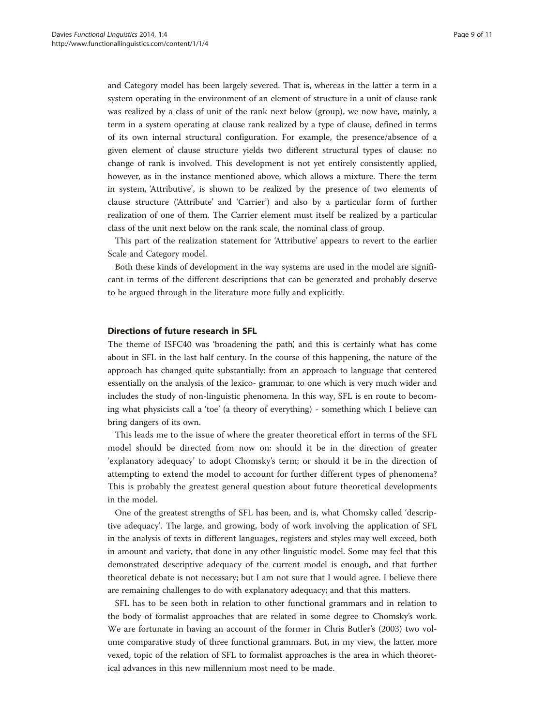and Category model has been largely severed. That is, whereas in the latter a term in a system operating in the environment of an element of structure in a unit of clause rank was realized by a class of unit of the rank next below (group), we now have, mainly, a term in a system operating at clause rank realized by a type of clause, defined in terms of its own internal structural configuration. For example, the presence/absence of a given element of clause structure yields two different structural types of clause: no change of rank is involved. This development is not yet entirely consistently applied, however, as in the instance mentioned above, which allows a mixture. There the term in system, 'Attributive', is shown to be realized by the presence of two elements of clause structure ('Attribute' and 'Carrier') and also by a particular form of further realization of one of them. The Carrier element must itself be realized by a particular class of the unit next below on the rank scale, the nominal class of group.

This part of the realization statement for 'Attributive' appears to revert to the earlier Scale and Category model.

Both these kinds of development in the way systems are used in the model are significant in terms of the different descriptions that can be generated and probably deserve to be argued through in the literature more fully and explicitly.

# Directions of future research in SFL

The theme of ISFC40 was 'broadening the path', and this is certainly what has come about in SFL in the last half century. In the course of this happening, the nature of the approach has changed quite substantially: from an approach to language that centered essentially on the analysis of the lexico- grammar, to one which is very much wider and includes the study of non-linguistic phenomena. In this way, SFL is en route to becoming what physicists call a 'toe' (a theory of everything) - something which I believe can bring dangers of its own.

This leads me to the issue of where the greater theoretical effort in terms of the SFL model should be directed from now on: should it be in the direction of greater 'explanatory adequacy' to adopt Chomsky's term; or should it be in the direction of attempting to extend the model to account for further different types of phenomena? This is probably the greatest general question about future theoretical developments in the model.

One of the greatest strengths of SFL has been, and is, what Chomsky called 'descriptive adequacy'. The large, and growing, body of work involving the application of SFL in the analysis of texts in different languages, registers and styles may well exceed, both in amount and variety, that done in any other linguistic model. Some may feel that this demonstrated descriptive adequacy of the current model is enough, and that further theoretical debate is not necessary; but I am not sure that I would agree. I believe there are remaining challenges to do with explanatory adequacy; and that this matters.

SFL has to be seen both in relation to other functional grammars and in relation to the body of formalist approaches that are related in some degree to Chomsky's work. We are fortunate in having an account of the former in Chris Butler's ([2003](#page-9-0)) two volume comparative study of three functional grammars. But, in my view, the latter, more vexed, topic of the relation of SFL to formalist approaches is the area in which theoretical advances in this new millennium most need to be made.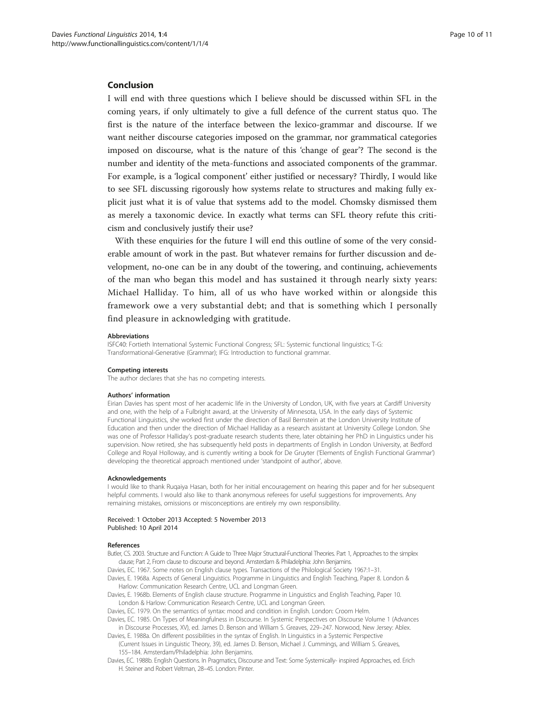# <span id="page-9-0"></span>Conclusion

I will end with three questions which I believe should be discussed within SFL in the coming years, if only ultimately to give a full defence of the current status quo. The first is the nature of the interface between the lexico-grammar and discourse. If we want neither discourse categories imposed on the grammar, nor grammatical categories imposed on discourse, what is the nature of this 'change of gear'? The second is the number and identity of the meta-functions and associated components of the grammar. For example, is a 'logical component' either justified or necessary? Thirdly, I would like to see SFL discussing rigorously how systems relate to structures and making fully explicit just what it is of value that systems add to the model. Chomsky dismissed them as merely a taxonomic device. In exactly what terms can SFL theory refute this criticism and conclusively justify their use?

With these enquiries for the future I will end this outline of some of the very considerable amount of work in the past. But whatever remains for further discussion and development, no-one can be in any doubt of the towering, and continuing, achievements of the man who began this model and has sustained it through nearly sixty years: Michael Halliday. To him, all of us who have worked within or alongside this framework owe a very substantial debt; and that is something which I personally find pleasure in acknowledging with gratitude.

#### Abbreviations

ISFC40: Fortieth International Systemic Functional Congress; SFL: Systemic functional linguistics; T-G: Transformational-Generative (Grammar); IFG: Introduction to functional grammar.

#### Competing interests

The author declares that she has no competing interests.

#### Authors' information

Eirian Davies has spent most of her academic life in the University of London, UK, with five years at Cardiff University and one, with the help of a Fulbright award, at the University of Minnesota, USA. In the early days of Systemic Functional Linguistics, she worked first under the direction of Basil Bernstein at the London University Institute of Education and then under the direction of Michael Halliday as a research assistant at University College London. She was one of Professor Halliday's post-graduate research students there, later obtaining her PhD in Linguistics under his supervision. Now retired, she has subsequently held posts in departments of English in London University, at Bedford College and Royal Holloway, and is currently writing a book for De Gruyter ('Elements of English Functional Grammar') developing the theoretical approach mentioned under 'standpoint of author', above.

#### Acknowledgements

I would like to thank Ruqaiya Hasan, both for her initial encouragement on hearing this paper and for her subsequent helpful comments. I would also like to thank anonymous referees for useful suggestions for improvements. Any remaining mistakes, omissions or misconceptions are entirely my own responsibility.

#### Received: 1 October 2013 Accepted: 5 November 2013 Published: 10 April 2014

#### References

Butler, CS. 2003. Structure and Function: A Guide to Three Major Structural-Functional Theories. Part 1, Approaches to the simplex clause; Part 2, From clause to discourse and beyond. Amsterdam & Philadelphia: John Benjamins.

Davies, EC. 1967. Some notes on English clause types. Transactions of the Philological Society 1967:1–31.

Davies, E. 1968a. Aspects of General Linguistics. Programme in Linguistics and English Teaching, Paper 8. London & Harlow: Communication Research Centre, UCL and Longman Green.

Davies, E. 1968b. Elements of English clause structure. Programme in Linguistics and English Teaching, Paper 10. London & Harlow: Communication Research Centre, UCL and Longman Green.

Davies, EC. 1979. On the semantics of syntax: mood and condition in English. London: Croom Helm.

Davies, EC. 1985. On Types of Meaningfulness in Discourse. In Systemic Perspectives on Discourse Volume 1 (Advances in Discourse Processes, XV), ed. James D. Benson and William S. Greaves, 229–247. Norwood, New Jersey: Ablex.

Davies, E. 1988a. On different possibilities in the syntax of English. In Linguistics in a Systemic Perspective (Current Issues in Linguistic Theory, 39), ed. James D. Benson, Michael J. Cummings, and William S. Greaves, 155–184. Amsterdam/Philadelphia: John Benjamins.

Davies, EC. 1988b. English Questions. In Pragmatics, Discourse and Text: Some Systemically- inspired Approaches, ed. Erich H. Steiner and Robert Veltman, 28–45. London: Pinter.